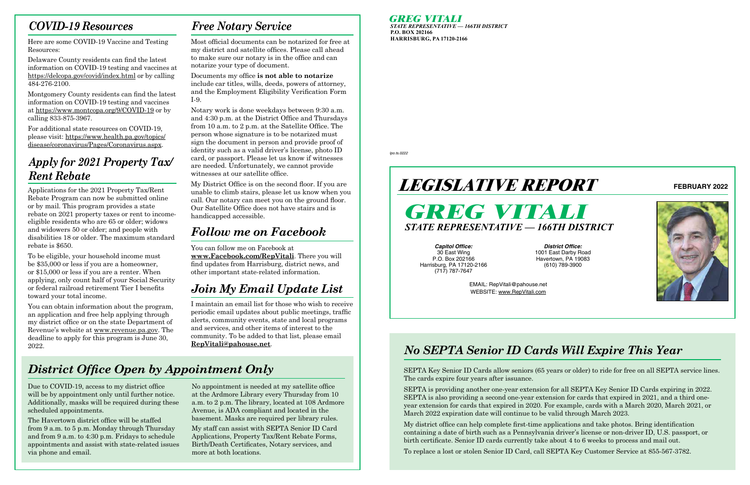**GREG VITALI**

*STATE REPRESENTATIVE — 166TH DISTRICT* **P.O. BOX 202166 HARRISBURG, PA 17120-2166**

*lpo.ts.0222*



**Capitol Office:** 30 East Wing P.O. Box 202166 Harrisburg, PA 17120-2166 (717) 787-7647

**District Office:** 1001 East Darby Road Havertown, PA 19083 (610) 789-3900

EMAIL: RepVitali@pahouse.net WEBSITE: www.RepVitali.com



**FEBRUARY 2022**

### *No SEPTA Senior ID Cards Will Expire This Year*

SEPTA Key Senior ID Cards allow seniors (65 years or older) to ride for free on all SEPTA service lines. The cards expire four years after issuance.

SEPTA is providing another one-year extension for all SEPTA Key Senior ID Cards expiring in 2022. SEPTA is also providing a second one-year extension for cards that expired in 2021, and a third oneyear extension for cards that expired in 2020. For example, cards with a March 2020, March 2021, or March 2022 expiration date will continue to be valid through March 2023.

My district office can help complete first-time applications and take photos. Bring identification containing a date of birth such as a Pennsylvania driver's license or non-driver ID, U.S. passport, or birth certificate. Senior ID cards currently take about 4 to 6 weeks to process and mail out.

To replace a lost or stolen Senior ID Card, call SEPTA Key Customer Service at 855-567-3782.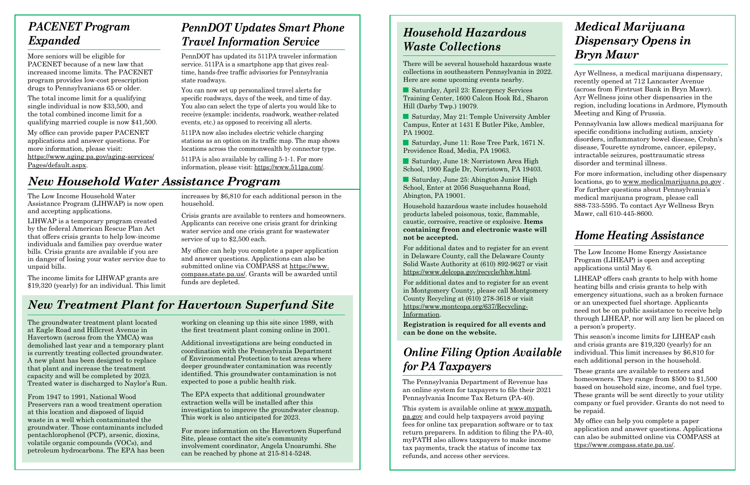#### *PACENET Program Expanded*

More seniors will be eligible for PACENET because of a new law that increased income limits. The PACENET program provides low-cost prescription drugs to Pennsylvanians 65 or older.

The total income limit for a qualifying single individual is now \$33,500, and the total combined income limit for a qualifying married couple is now \$41,500.

My office can provide paper PACENET applications and answer questions. For more information, please visit: https://www.aging.pa.gov/aging-services/ Pages/default.aspx.

## *PennDOT Updates Smart Phone Travel Information Service*

PennDOT has updated its 511PA traveler information service. 511PA is a smartphone app that gives realtime, hands-free traffic advisories for Pennsylvania state roadways.

You can now set up personalized travel alerts for specific roadways, days of the week, and time of day. You also can select the type of alerts you would like to receive (example: incidents, roadwork, weather-related events, etc.) as opposed to receiving all alerts.

511PA now also includes electric vehicle charging stations as an option on its traffic map. The map shows locations across the commonwealth by connector type.

511PA is also available by calling 5-1-1. For more information, please visit: https://www.511pa.com/.

## *New Household Water Assistance Program*

The Low Income Household Water Assistance Program (LIHWAP) is now open and accepting applications.

LIHWAP is a temporary program created by the federal American Rescue Plan Act that offers crisis grants to help low-income individuals and families pay overdue water bills. Crisis grants are available if you are in danger of losing your water service due to unpaid bills.

The income limits for LIHWAP grants are \$19,320 (yearly) for an individual. This limit increases by \$6,810 for each additional person in the household.

Crisis grants are available to renters and homeowners. Applicants can receive one crisis grant for drinking water service and one crisis grant for wastewater service of up to \$2,500 each.

My office can help you complete a paper application and answer questions. Applications can also be submitted online via COMPASS at https://www. compass.state.pa.us/. Grants will be awarded until funds are depleted.

## *New Treatment Plant for Havertown Superfund Site*

The groundwater treatment plant located at Eagle Road and Hillcrest Avenue in Havertown (across from the YMCA) was demolished last year and a temporary plant is currently treating collected groundwater. A new plant has been designed to replace that plant and increase the treatment capacity and will be completed by 2023. Treated water is discharged to Naylor's Run.

From 1947 to 1991, National Wood Preservers ran a wood treatment operation at this location and disposed of liquid waste in a well which contaminated the groundwater. Those contaminants included pentachlorophenol (PCP), arsenic, dioxins, volatile organic compounds (VOCs), and petroleum hydrocarbons. The EPA has been

working on cleaning up this site since 1989, with the first treatment plant coming online in 2001.

Additional investigations are being conducted in coordination with the Pennsylvania Department of Environmental Protection to test areas where deeper groundwater contamination was recently identified. This groundwater contamination is not expected to pose a public health risk.

The EPA expects that additional groundwater extraction wells will be installed after this investigation to improve the groundwater cleanup. This work is also anticipated for 2023.

For more information on the Havertown Superfund Site, please contact the site's community involvement coordinator, Angela Unoarumhi. She can be reached by phone at 215-814-5248.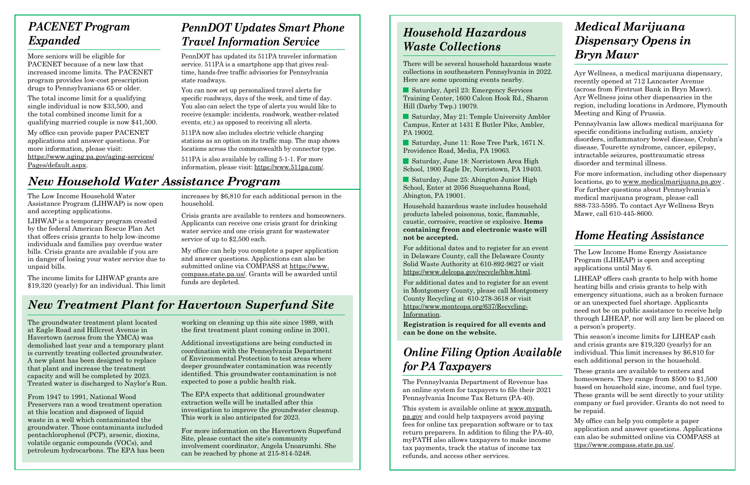#### *Household Hazardous Waste Collections*

There will be several household hazardous waste collections in southeastern Pennsylvania in 2022. Here are some upcoming events nearby.

Saturday, April 23: Emergency Services Training Center, 1600 Calcon Hook Rd., Sharon Hill (Darby Twp.) 19079.

Saturday, May 21: Temple University Ambler Campus, Enter at 1431 E Butler Pike, Ambler, PA 19002.

Saturday, June 11: Rose Tree Park, 1671 N. Providence Road, Media, PA 19063.

Saturday, June 18: Norristown Area High School, 1900 Eagle Dr, Norristown, PA 19403.

■ Saturday, June 25: Abington Junior High School, Enter at 2056 Susquehanna Road, Abington, PA 19001.

Household hazardous waste includes household products labeled poisonous, toxic, flammable, caustic, corrosive, reactive or explosive. **Items containing freon and electronic waste will not be accepted.**

For additional dates and to register for an event in Delaware County, call the Delaware County Solid Waste Authority at 610-892-9627 or visit https://www.delcopa.gov/recycle/hhw.html.

For additional dates and to register for an event in Montgomery County, please call Montgomery County Recycling at 610-278-3618 or visit https://www.montcopa.org/637/Recycling-Information.

**Registration is required for all events and can be done on the website.**

## *Online Filing Option Available for PA Taxpayers*

The Pennsylvania Department of Revenue has an online system for taxpayers to file their 2021 Pennsylvania Income Tax Return (PA-40).

This system is available online at www.mypath. pa.gov and could help taxpayers avoid paying fees for online tax preparation software or to tax return preparers. In addition to filing the PA-40, myPATH also allows taxpayers to make income tax payments, track the status of income tax refunds, and access other services.

#### *Medical Marijuana Dispensary Opens in Bryn Mawr*

Ayr Wellness, a medical marijuana dispensary, recently opened at 712 Lancaster Avenue (across from Firstrust Bank in Bryn Mawr). Ayr Wellness joins other dispensaries in the region, including locations in Ardmore, Plymouth Meeting and King of Prussia.

Pennsylvania law allows medical marijuana for specific conditions including autism, anxiety disorders, inflammatory bowel disease, Crohn's disease, Tourette syndrome, cancer, epilepsy, intractable seizures, posttraumatic stress disorder and terminal illness.

For more information, including other dispensary locations, go to www.medicalmarijuana.pa.gov . For further questions about Pennsylvania's medical marijuana program, please call 888-733-5595. To contact Ayr Wellness Bryn Mawr, call 610-445-8600.

#### *Home Heating Assistance*

The Low Income Home Energy Assistance Program (LIHEAP) is open and accepting applications until May 6.

LIHEAP offers cash grants to help with home heating bills and crisis grants to help with emergency situations, such as a broken furnace or an unexpected fuel shortage. Applicants need not be on public assistance to receive help through LIHEAP, nor will any lien be placed on a person's property.

This season's income limits for LIHEAP cash and crisis grants are \$19,320 (yearly) for an individual. This limit increases by \$6,810 for each additional person in the household.

These grants are available to renters and homeowners. They range from \$500 to \$1,500 based on household size, income, and fuel type. These grants will be sent directly to your utility company or fuel provider. Grants do not need to be repaid.

My office can help you complete a paper application and answer questions. Applications can also be submitted online via COMPASS at ttps://www.compass.state.pa.us/.